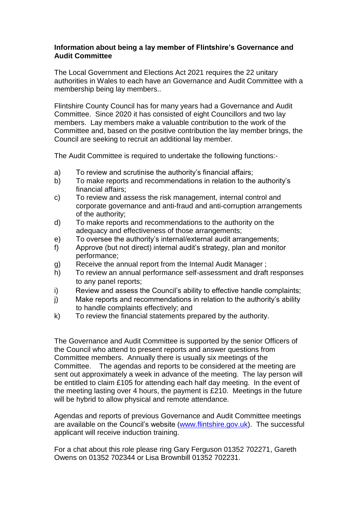## **Information about being a lay member of Flintshire's Governance and Audit Committee**

The Local Government and Elections Act 2021 requires the 22 unitary authorities in Wales to each have an Governance and Audit Committee with a membership being lay members..

Flintshire County Council has for many years had a Governance and Audit Committee. Since 2020 it has consisted of eight Councillors and two lay members. Lay members make a valuable contribution to the work of the Committee and, based on the positive contribution the lay member brings, the Council are seeking to recruit an additional lay member.

The Audit Committee is required to undertake the following functions:-

- a) To review and scrutinise the authority's financial affairs;
- b) To make reports and recommendations in relation to the authority's financial affairs;
- c) To review and assess the risk management, internal control and corporate governance and anti-fraud and anti-corruption arrangements of the authority;
- d) To make reports and recommendations to the authority on the adequacy and effectiveness of those arrangements;
- e) To oversee the authority's internal/external audit arrangements;
- f) Approve (but not direct) internal audit's strategy, plan and monitor performance;
- g) Receive the annual report from the Internal Audit Manager ;
- h) To review an annual performance self-assessment and draft responses to any panel reports;
- i) Review and assess the Council's ability to effective handle complaints;
- j) Make reports and recommendations in relation to the authority's ability to handle complaints effectively; and
- k) To review the financial statements prepared by the authority.

The Governance and Audit Committee is supported by the senior Officers of the Council who attend to present reports and answer questions from Committee members. Annually there is usually six meetings of the Committee. The agendas and reports to be considered at the meeting are sent out approximately a week in advance of the meeting. The lay person will be entitled to claim £105 for attending each half day meeting. In the event of the meeting lasting over 4 hours, the payment is £210. Meetings in the future will be hybrid to allow physical and remote attendance.

Agendas and reports of previous Governance and Audit Committee meetings are available on the Council's website [\(www.flintshire.gov.uk\)](http://www.flintshire.gov.uk/). The successful applicant will receive induction training.

For a chat about this role please ring Gary Ferguson 01352 702271, Gareth Owens on 01352 702344 or Lisa Brownbill 01352 702231.